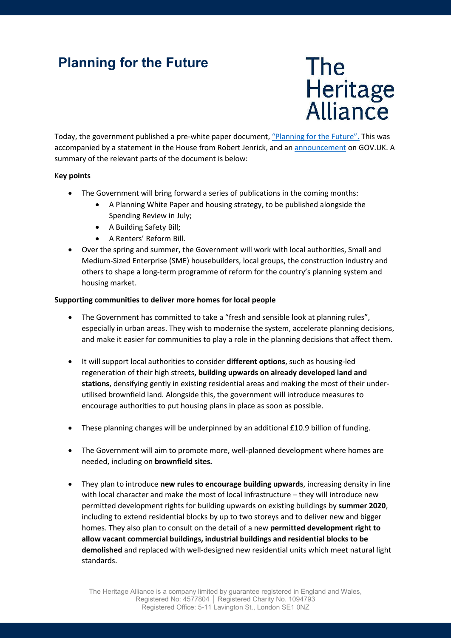## Planning for the Future



Today, the government published a pre-white paper document, "Planning for the Future". This was accompanied by a statement in the House from Robert Jenrick, and an announcement on GOV.UK. A summary of the relevant parts of the document is below:

## Key points

- The Government will bring forward a series of publications in the coming months:
	- A Planning White Paper and housing strategy, to be published alongside the Spending Review in July;
	- A Building Safety Bill;
	- A Renters' Reform Bill.
- Over the spring and summer, the Government will work with local authorities, Small and Medium-Sized Enterprise (SME) housebuilders, local groups, the construction industry and others to shape a long-term programme of reform for the country's planning system and housing market.

## Supporting communities to deliver more homes for local people

- The Government has committed to take a "fresh and sensible look at planning rules", especially in urban areas. They wish to modernise the system, accelerate planning decisions, and make it easier for communities to play a role in the planning decisions that affect them.
- It will support local authorities to consider different options, such as housing-led regeneration of their high streets, building upwards on already developed land and stations, densifying gently in existing residential areas and making the most of their underutilised brownfield land. Alongside this, the government will introduce measures to encourage authorities to put housing plans in place as soon as possible.
- These planning changes will be underpinned by an additional £10.9 billion of funding.
- The Government will aim to promote more, well-planned development where homes are needed, including on brownfield sites.
- They plan to introduce new rules to encourage building upwards, increasing density in line with local character and make the most of local infrastructure – they will introduce new permitted development rights for building upwards on existing buildings by summer 2020, including to extend residential blocks by up to two storeys and to deliver new and bigger homes. They also plan to consult on the detail of a new permitted development right to allow vacant commercial buildings, industrial buildings and residential blocks to be demolished and replaced with well-designed new residential units which meet natural light standards.